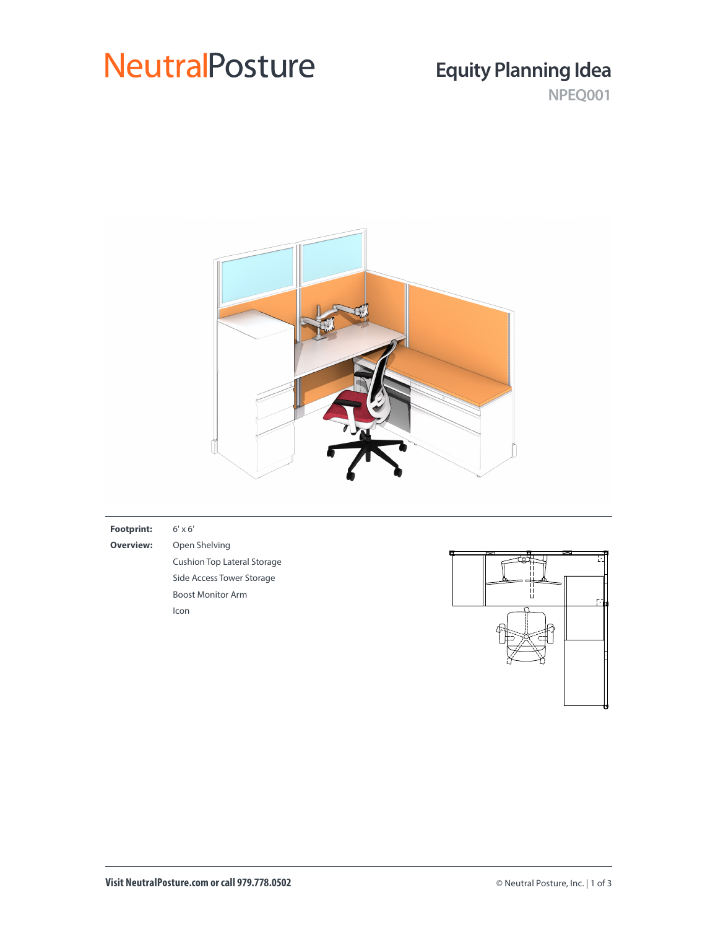## **NeutralPosture**

## **Equity Planning Idea**

**NPEQ001**



### **Footprint:** 6' x 6' **Overview:** Open Shelving Cushion Top Lateral Storage Side Access Tower Storage Boost Monitor Arm Icon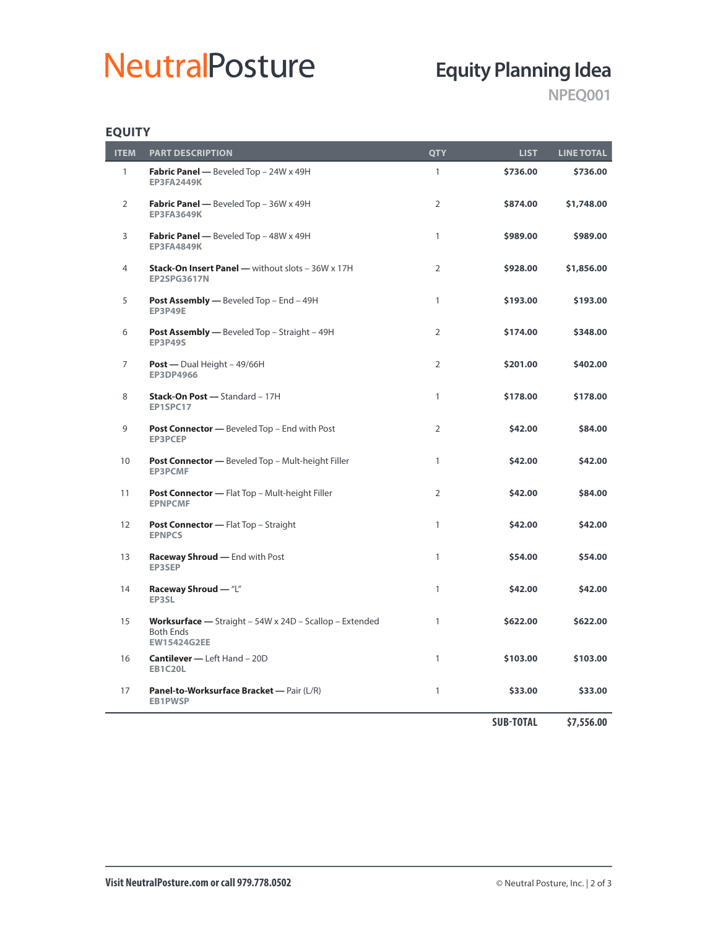# **NeutralPosture**

## **Equity Planning Idea**

**NPEQ001**

### **EQUITY**

| <b>ITEM</b>       | <b>PART DESCRIPTION</b>                                                                                  | <b>QTY</b>     | <b>LIST</b>      | <b>LINE TOTAL</b> |
|-------------------|----------------------------------------------------------------------------------------------------------|----------------|------------------|-------------------|
| 1                 | Fabric Panel - Beveled Top - 24W x 49H<br><b>EP3FA2449K</b>                                              | $\mathbf{1}$   | \$736.00         | \$736.00          |
| 2                 | Fabric Panel - Beveled Top - 36W x 49H<br><b>EP3FA3649K</b>                                              | $\overline{2}$ | \$874.00         | \$1,748.00        |
| 3                 | Fabric Panel - Beveled Top - 48W x 49H<br><b>EP3FA4849K</b>                                              | 1              | \$989.00         | \$989.00          |
| 4                 | Stack-On Insert Panel - without slots - 36W x 17H<br><b>EP2SPG3617N</b>                                  | $\overline{2}$ | \$928.00         | \$1,856.00        |
| 5                 | <b>Post Assembly —</b> Beveled Top – End – 49H<br><b>EP3P49E</b>                                         | $\mathbf{1}$   | \$193.00         | \$193.00          |
| 6                 | Post Assembly - Beveled Top - Straight - 49H<br><b>EP3P49S</b>                                           | $\overline{2}$ | \$174.00         | \$348.00          |
| $\overline{7}$    | <b>Post</b> — Dual Height $-49/66H$<br><b>EP3DP4966</b>                                                  | $\overline{2}$ | \$201.00         | \$402.00          |
| 8                 | Stack-On Post - Standard - 17H<br>EP1SPC17                                                               | $\mathbf{1}$   | \$178.00         | \$178.00          |
| 9                 | Post Connector - Beveled Top - End with Post<br><b>EP3PCEP</b>                                           | $\overline{2}$ | \$42.00          | \$84.00           |
| 10                | Post Connector - Beveled Top - Mult-height Filler<br><b>EP3PCMF</b>                                      | $\mathbf{1}$   | \$42.00          | \$42.00           |
| 11                | Post Connector - Flat Top - Mult-height Filler<br><b>EPNPCMF</b>                                         | $\overline{2}$ | \$42.00          | \$84.00           |
| $12 \overline{ }$ | <b>Post Connector - Flat Top - Straight</b><br><b>EPNPCS</b>                                             | $\mathbf{1}$   | \$42.00          | \$42.00           |
| 13                | Raceway Shroud - End with Post<br><b>EP3SEP</b>                                                          | $\mathbf{1}$   | \$54.00          | \$54.00           |
| 14                | Raceway Shroud - "L"<br>EP3SL                                                                            | $\mathbf{1}$   | \$42.00          | \$42.00           |
| 15                | <b>Worksurface</b> - Straight - 54W x 24D - Scallop - Extended<br><b>Both Ends</b><br><b>EW15424G2EE</b> | $\mathbf{1}$   | \$622.00         | \$622.00          |
| 16                | <b>Cantilever - Left Hand - 20D</b><br><b>EB1C20L</b>                                                    | $\mathbf{1}$   | \$103.00         | \$103.00          |
| 17                | Panel-to-Worksurface Bracket - Pair (L/R)<br><b>EB1PWSP</b>                                              | 1              | \$33.00          | \$33.00           |
|                   |                                                                                                          |                | <b>SUB-TOTAL</b> | \$7,556.00        |